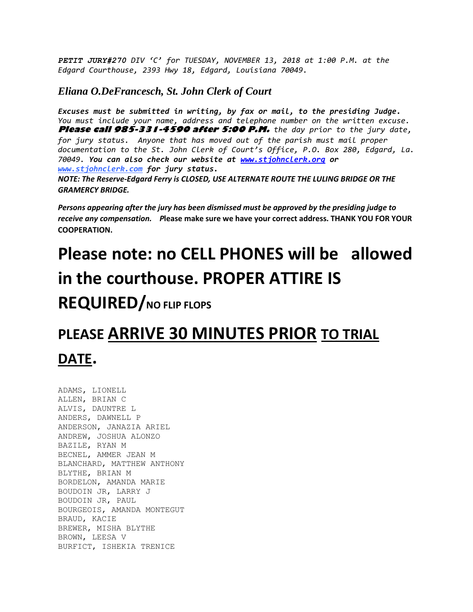*PETIT JURY#270 DIV 'C' for TUESDAY, NOVEMBER 13, 2018 at 1:00 P.M. at the Edgard Courthouse, 2393 Hwy 18, Edgard, Louisiana 70049.*

## *Eliana O.DeFrancesch, St. John Clerk of Court*

*Excuses must be submitted in writing, by fax or mail, to the presiding Judge. You must include your name, address and telephone number on the written excuse.* **Please call 985-331-4590 after 5:00 P.M.** *the day prior to the jury date, for jury status. Anyone that has moved out of the parish must mail proper documentation to the St. John Clerk of Court's Office, P.O. Box 280, Edgard, La. 70049. You can also check our website at [www.stjohnclerk.org](http://www.stjohnclerk.org/) or www.stjohnclerk.com for jury status. NOTE: The Reserve-Edgard Ferry is CLOSED, USE ALTERNATE ROUTE THE LULING BRIDGE OR THE GRAMERCY BRIDGE.*

*Persons appearing after the jury has been dismissed must be approved by the presiding judge to receive any compensation. P***lease make sure we have your correct address. THANK YOU FOR YOUR COOPERATION.**

## **Please note: no CELL PHONES will be allowed in the courthouse. PROPER ATTIRE IS**

## **REQUIRED/NO FLIP FLOPS**

## **PLEASE ARRIVE 30 MINUTES PRIOR TO TRIAL DATE.**

ADAMS, LIONELL ALLEN, BRIAN C ALVIS, DAUNTRE L ANDERS, DAWNELL P ANDERSON, JANAZIA ARIEL ANDREW, JOSHUA ALONZO BAZILE, RYAN M BECNEL, AMMER JEAN M BLANCHARD, MATTHEW ANTHONY BLYTHE, BRIAN M BORDELON, AMANDA MARIE BOUDOIN JR, LARRY J BOUDOIN JR, PAUL BOURGEOIS, AMANDA MONTEGUT BRAUD, KACIE BREWER, MISHA BLYTHE BROWN, LEESA V BURFICT, ISHEKIA TRENICE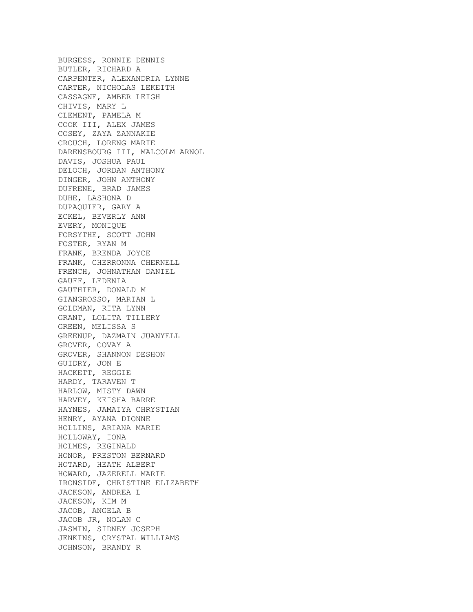BURGESS, RONNIE DENNIS BUTLER, RICHARD A CARPENTER, ALEXANDRIA LYNNE CARTER, NICHOLAS LEKEITH CASSAGNE, AMBER LEIGH CHIVIS, MARY L CLEMENT, PAMELA M COOK III, ALEX JAMES COSEY, ZAYA ZANNAKIE CROUCH, LORENG MARIE DARENSBOURG III, MALCOLM ARNOL DAVIS, JOSHUA PAUL DELOCH, JORDAN ANTHONY DINGER, JOHN ANTHONY DUFRENE, BRAD JAMES DUHE, LASHONA D DUPAQUIER, GARY A ECKEL, BEVERLY ANN EVERY, MONIQUE FORSYTHE, SCOTT JOHN FOSTER, RYAN M FRANK, BRENDA JOYCE FRANK, CHERRONNA CHERNELL FRENCH, JOHNATHAN DANIEL GAUFF, LEDENIA GAUTHIER, DONALD M GIANGROSSO, MARIAN L GOLDMAN, RITA LYNN GRANT, LOLITA TILLERY GREEN, MELISSA S GREENUP, DAZMAIN JUANYELL GROVER, COVAY A GROVER, SHANNON DESHON GUIDRY, JON E HACKETT, REGGIE HARDY, TARAVEN T HARLOW, MISTY DAWN HARVEY, KEISHA BARRE HAYNES, JAMAIYA CHRYSTIAN HENRY, AYANA DIONNE HOLLINS, ARIANA MARIE HOLLOWAY, IONA HOLMES, REGINALD HONOR, PRESTON BERNARD HOTARD, HEATH ALBERT HOWARD, JAZERELL MARIE IRONSIDE, CHRISTINE ELIZABETH JACKSON, ANDREA L JACKSON, KIM M JACOB, ANGELA B JACOB JR, NOLAN C JASMIN, SIDNEY JOSEPH JENKINS, CRYSTAL WILLIAMS JOHNSON, BRANDY R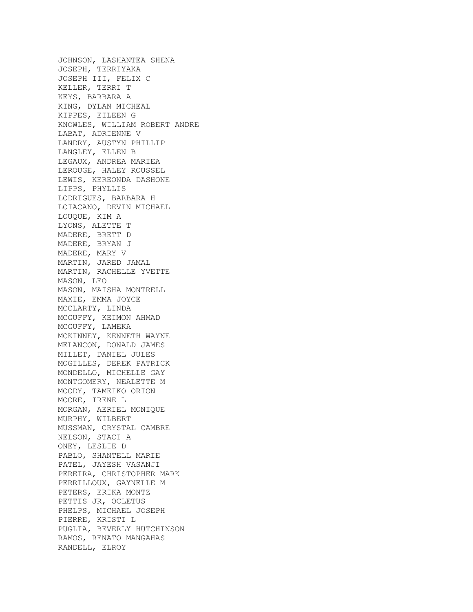JOHNSON, LASHANTEA SHENA JOSEPH, TERRIYAKA JOSEPH III, FELIX C KELLER, TERRI T KEYS, BARBARA A KING, DYLAN MICHEAL KIPPES, EILEEN G KNOWLES, WILLIAM ROBERT ANDRE LABAT, ADRIENNE V LANDRY, AUSTYN PHILLIP LANGLEY, ELLEN B LEGAUX, ANDREA MARIEA LEROUGE, HALEY ROUSSEL LEWIS, KEREONDA DASHONE LIPPS, PHYLLIS LODRIGUES, BARBARA H LOIACANO, DEVIN MICHAEL LOUQUE, KIM A LYONS, ALETTE T MADERE, BRETT D MADERE, BRYAN J MADERE, MARY V MARTIN, JARED JAMAL MARTIN, RACHELLE YVETTE MASON, LEO MASON, MAISHA MONTRELL MAXIE, EMMA JOYCE MCCLARTY, LINDA MCGUFFY, KEIMON AHMAD MCGUFFY, LAMEKA MCKINNEY, KENNETH WAYNE MELANCON, DONALD JAMES MILLET, DANIEL JULES MOGILLES, DEREK PATRICK MONDELLO, MICHELLE GAY MONTGOMERY, NEALETTE M MOODY, TAMEIKO ORION MOORE, IRENE L MORGAN, AERIEL MONIQUE MURPHY, WILBERT MUSSMAN, CRYSTAL CAMBRE NELSON, STACI A ONEY, LESLIE D PABLO, SHANTELL MARIE PATEL, JAYESH VASANJI PEREIRA, CHRISTOPHER MARK PERRILLOUX, GAYNELLE M PETERS, ERIKA MONTZ PETTIS JR, OCLETUS PHELPS, MICHAEL JOSEPH PIERRE, KRISTI L PUGLIA, BEVERLY HUTCHINSON RAMOS, RENATO MANGAHAS RANDELL, ELROY